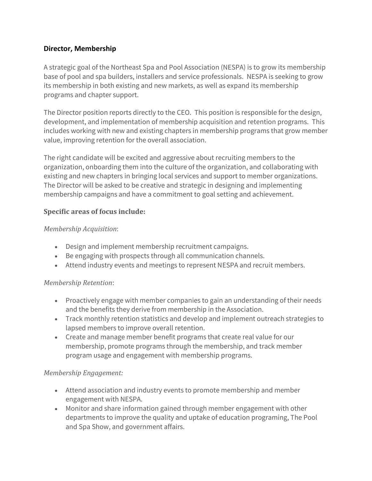## **Director, Membership**

A strategic goal of the Northeast Spa and Pool Association (NESPA) is to grow its membership base of pool and spa builders, installers and service professionals. NESPA is seeking to grow its membership in both existing and new markets, as well as expand its membership programs and chapter support.

The Director position reports directly to the CEO. This position is responsible for the design, development, and implementation of membership acquisition and retention programs. This includes working with new and existing chapters in membership programs that grow member value, improving retention for the overall association.

The right candidate will be excited and aggressive about recruiting members to the organization, onboarding them into the culture of the organization, and collaborating with existing and new chapters in bringing local services and support to member organizations. The Director will be asked to be creative and strategic in designing and implementing membership campaigns and have a commitment to goal setting and achievement.

## **Specific areas of focus include:**

### *Membership Acquisition*:

- Design and implement membership recruitment campaigns.
- Be engaging with prospects through all communication channels.
- Attend industry events and meetings to represent NESPA and recruit members.

# *Membership Retention*:

- Proactively engage with member companies to gain an understanding of their needs and the benefits they derive from membership in the Association.
- Track monthly retention statistics and develop and implement outreach strategies to lapsed members to improve overall retention.
- Create and manage member benefit programs that create real value for our membership, promote programs through the membership, and track member program usage and engagement with membership programs.

### *Membership Engagement:*

- Attend association and industry events to promote membership and member engagement with NESPA.
- Monitor and share information gained through member engagement with other departments to improve the quality and uptake of education programing, The Pool and Spa Show, and government affairs.